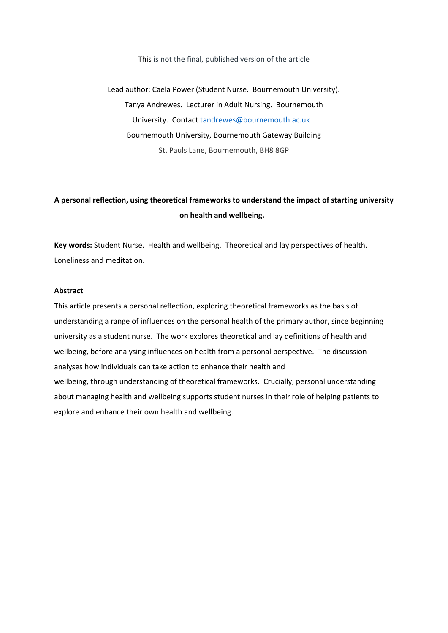#### This is not the final, published version of the article

Lead author: Caela Power (Student Nurse.  Bournemouth University). Tanya Andrewes. Lecturer in Adult Nursing. Bournemouth University. Contact [tandrewes@bournemouth.ac.uk](mailto:tandrewes@bournemouth.ac.uk)  Bournemouth University, Bournemouth Gateway Building St. Pauls Lane, Bournemouth, BH8 8GP

# **A personal reflection, using theoretical frameworks to understand the impact of starting university on health and wellbeing.**

**Key words:** Student Nurse. Health and wellbeing. Theoretical and lay perspectives of health. Loneliness and meditation.

### **Abstract**

This article presents a personal reflection, exploring theoretical frameworks as the basis of understanding a range of influences on the personal health of the primary author, since beginning university as a student nurse. The work explores theoretical and lay definitions of health and wellbeing, before analysing influences on health from a personal perspective. The discussion analyses how individuals can take action to enhance their health and wellbeing, through understanding of theoretical frameworks. Crucially, personal understanding about managing health and wellbeing supports student nurses in their role of helping patients to explore and enhance their own health and wellbeing.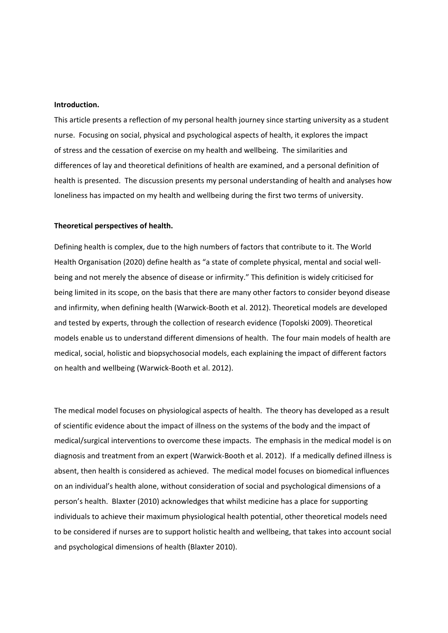## **Introduction.**

This article presents a reflection of my personal health journey since starting university as a student nurse. Focusing on social, physical and psychological aspects of health, it explores the impact of stress and the cessation of exercise on my health and wellbeing. The similarities and differences of lay and theoretical definitions of health are examined, and a personal definition of health is presented. The discussion presents my personal understanding of health and analyses how loneliness has impacted on my health and wellbeing during the first two terms of university.

#### **Theoretical perspectives of health.**

Defining health is complex, due to the high numbers of factors that contribute to it. The World Health Organisation (2020) define health as "a state of complete physical, mental and social wellbeing and not merely the absence of disease or infirmity." This definition is widely criticised for being limited in its scope, on the basis that there are many other factors to consider beyond disease and infirmity, when defining health (Warwick-Booth et al. 2012). Theoretical models are developed and tested by experts, through the collection of research evidence (Topolski 2009). Theoretical models enable us to understand different dimensions of health. The four main models of health are medical, social, holistic and biopsychosocial models, each explaining the impact of different factors on health and wellbeing (Warwick-Booth et al. 2012).

The medical model focuses on physiological aspects of health. The theory has developed as a result of scientific evidence about the impact of illness on the systems of the body and the impact of medical/surgical interventions to overcome these impacts. The emphasis in the medical model is on diagnosis and treatment from an expert (Warwick-Booth et al. 2012). If a medically defined illness is absent, then health is considered as achieved. The medical model focuses on biomedical influences on an individual's health alone, without consideration of social and psychological dimensions of a person's health. Blaxter (2010) acknowledges that whilst medicine has a place for supporting individuals to achieve their maximum physiological health potential, other theoretical models need to be considered if nurses are to support holistic health and wellbeing, that takes into account social and psychological dimensions of health (Blaxter 2010).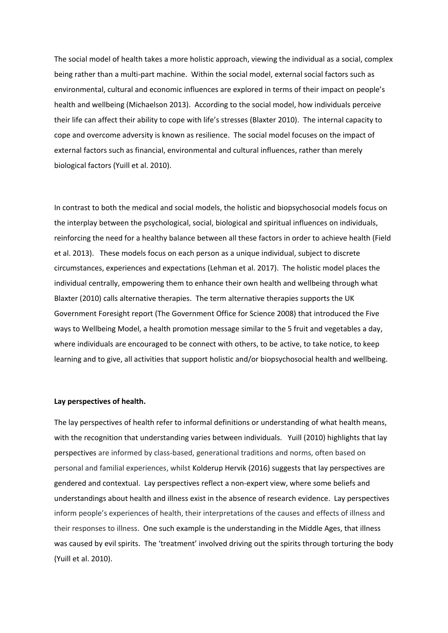The social model of health takes a more holistic approach, viewing the individual as a social, complex being rather than a multi-part machine. Within the social model, external social factors such as environmental, cultural and economic influences are explored in terms of their impact on people's health and wellbeing (Michaelson 2013). According to the social model, how individuals perceive their life can affect their ability to cope with life's stresses (Blaxter 2010). The internal capacity to cope and overcome adversity is known as resilience. The social model focuses on the impact of external factors such as financial, environmental and cultural influences, rather than merely biological factors (Yuill et al. 2010).

In contrast to both the medical and social models, the holistic and biopsychosocial models focus on the interplay between the psychological, social, biological and spiritual influences on individuals, reinforcing the need for a healthy balance between all these factors in order to achieve health (Field et al. 2013). These models focus on each person as a unique individual, subject to discrete circumstances, experiences and expectations (Lehman et al. 2017). The holistic model places the individual centrally, empowering them to enhance their own health and wellbeing through what Blaxter (2010) calls alternative therapies. The term alternative therapies supports the UK Government Foresight report (The Government Office for Science 2008) that introduced the Five ways to Wellbeing Model, a health promotion message similar to the 5 fruit and vegetables a day, where individuals are encouraged to be connect with others, to be active, to take notice, to keep learning and to give, all activities that support holistic and/or biopsychosocial health and wellbeing.

#### **Lay perspectives of health.**

The lay perspectives of health refer to informal definitions or understanding of what health means, with the recognition that understanding varies between individuals. Yuill (2010) highlights that lay perspectives are informed by class-based, generational traditions and norms, often based on personal and familial experiences, whilst Kolderup Hervik (2016) suggests that lay perspectives are gendered and contextual. Lay perspectives reflect a non-expert view, where some beliefs and understandings about health and illness exist in the absence of research evidence. Lay perspectives inform people's experiences of health, their interpretations of the causes and effects of illness and their responses to illness. One such example is the understanding in the Middle Ages, that illness was caused by evil spirits. The 'treatment' involved driving out the spirits through torturing the body (Yuill et al. 2010).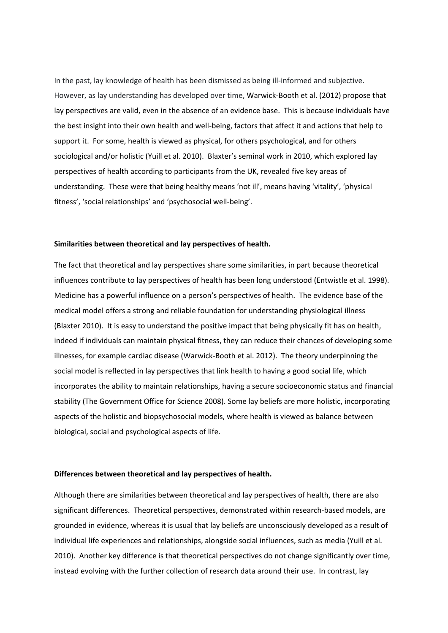In the past, lay knowledge of health has been dismissed as being ill-informed and subjective. However, as lay understanding has developed over time, Warwick-Booth et al. (2012) propose that lay perspectives are valid, even in the absence of an evidence base. This is because individuals have the best insight into their own health and well-being, factors that affect it and actions that help to support it. For some, health is viewed as physical, for others psychological, and for others sociological and/or holistic (Yuill et al. 2010). Blaxter's seminal work in 2010, which explored lay perspectives of health according to participants from the UK, revealed five key areas of understanding. These were that being healthy means 'not ill', means having 'vitality', 'physical fitness', 'social relationships' and 'psychosocial well-being'.

#### **Similarities between theoretical and lay perspectives of health.**

The fact that theoretical and lay perspectives share some similarities, in part because theoretical influences contribute to lay perspectives of health has been long understood (Entwistle et al. 1998). Medicine has a powerful influence on a person's perspectives of health. The evidence base of the medical model offers a strong and reliable foundation for understanding physiological illness (Blaxter 2010). It is easy to understand the positive impact that being physically fit has on health, indeed if individuals can maintain physical fitness, they can reduce their chances of developing some illnesses, for example cardiac disease (Warwick-Booth et al. 2012). The theory underpinning the social model is reflected in lay perspectives that link health to having a good social life, which incorporates the ability to maintain relationships, having a secure socioeconomic status and financial stability (The Government Office for Science 2008). Some lay beliefs are more holistic, incorporating aspects of the holistic and biopsychosocial models, where health is viewed as balance between biological, social and psychological aspects of life.

#### **Differences between theoretical and lay perspectives of health.**

Although there are similarities between theoretical and lay perspectives of health, there are also significant differences. Theoretical perspectives, demonstrated within research-based models, are grounded in evidence, whereas it is usual that lay beliefs are unconsciously developed as a result of individual life experiences and relationships, alongside social influences, such as media (Yuill et al. 2010). Another key difference is that theoretical perspectives do not change significantly over time, instead evolving with the further collection of research data around their use. In contrast, lay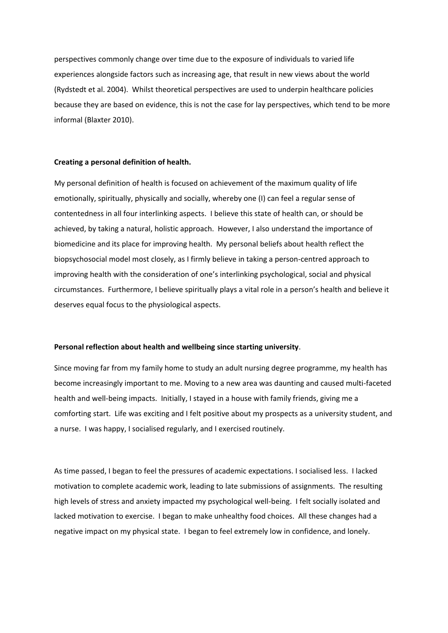perspectives commonly change over time due to the exposure of individuals to varied life experiences alongside factors such as increasing age, that result in new views about the world (Rydstedt et al. 2004). Whilst theoretical perspectives are used to underpin healthcare policies because they are based on evidence, this is not the case for lay perspectives, which tend to be more informal (Blaxter 2010).

#### **Creating a personal definition of health.**

My personal definition of health is focused on achievement of the maximum quality of life emotionally, spiritually, physically and socially, whereby one (I) can feel a regular sense of contentedness in all four interlinking aspects. I believe this state of health can, or should be achieved, by taking a natural, holistic approach. However, I also understand the importance of biomedicine and its place for improving health. My personal beliefs about health reflect the biopsychosocial model most closely, as I firmly believe in taking a person-centred approach to improving health with the consideration of one's interlinking psychological, social and physical circumstances. Furthermore, I believe spiritually plays a vital role in a person's health and believe it deserves equal focus to the physiological aspects.

#### **Personal reflection about health and wellbeing since starting university**.

Since moving far from my family home to study an adult nursing degree programme, my health has become increasingly important to me. Moving to a new area was daunting and caused multi-faceted health and well-being impacts. Initially, I stayed in a house with family friends, giving me a comforting start. Life was exciting and I felt positive about my prospects as a university student, and a nurse. I was happy, I socialised regularly, and I exercised routinely.

As time passed, I began to feel the pressures of academic expectations. I socialised less. I lacked motivation to complete academic work, leading to late submissions of assignments. The resulting high levels of stress and anxiety impacted my psychological well-being. I felt socially isolated and lacked motivation to exercise. I began to make unhealthy food choices. All these changes had a negative impact on my physical state. I began to feel extremely low in confidence, and lonely.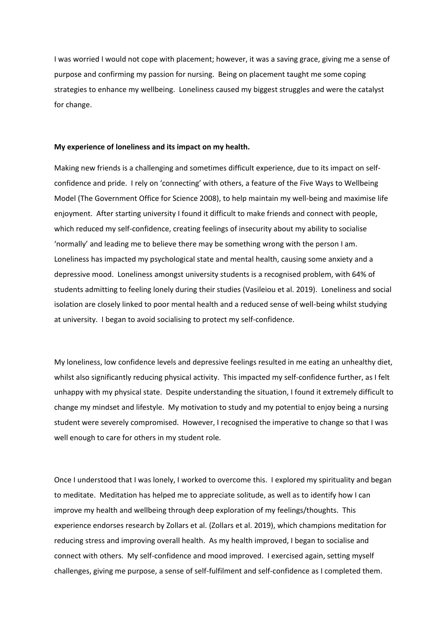I was worried I would not cope with placement; however, it was a saving grace, giving me a sense of purpose and confirming my passion for nursing. Being on placement taught me some coping strategies to enhance my wellbeing. Loneliness caused my biggest struggles and were the catalyst for change.

#### **My experience of loneliness and its impact on my health.**

Making new friends is a challenging and sometimes difficult experience, due to its impact on selfconfidence and pride. I rely on 'connecting' with others, a feature of the Five Ways to Wellbeing Model (The Government Office for Science 2008), to help maintain my well-being and maximise life enjoyment. After starting university I found it difficult to make friends and connect with people, which reduced my self-confidence, creating feelings of insecurity about my ability to socialise 'normally' and leading me to believe there may be something wrong with the person I am. Loneliness has impacted my psychological state and mental health, causing some anxiety and a depressive mood. Loneliness amongst university students is a recognised problem, with 64% of students admitting to feeling lonely during their studies (Vasileiou et al. 2019). Loneliness and social isolation are closely linked to poor mental health and a reduced sense of well-being whilst studying at university. I began to avoid socialising to protect my self-confidence.

My loneliness, low confidence levels and depressive feelings resulted in me eating an unhealthy diet, whilst also significantly reducing physical activity. This impacted my self-confidence further, as I felt unhappy with my physical state. Despite understanding the situation, I found it extremely difficult to change my mindset and lifestyle. My motivation to study and my potential to enjoy being a nursing student were severely compromised. However, I recognised the imperative to change so that I was well enough to care for others in my student role.

Once I understood that I was lonely, I worked to overcome this. I explored my spirituality and began to meditate. Meditation has helped me to appreciate solitude, as well as to identify how I can improve my health and wellbeing through deep exploration of my feelings/thoughts. This experience endorses research by Zollars et al. (Zollars et al. 2019), which champions meditation for reducing stress and improving overall health. As my health improved, I began to socialise and connect with others. My self-confidence and mood improved. I exercised again, setting myself challenges, giving me purpose, a sense of self-fulfilment and self-confidence as I completed them.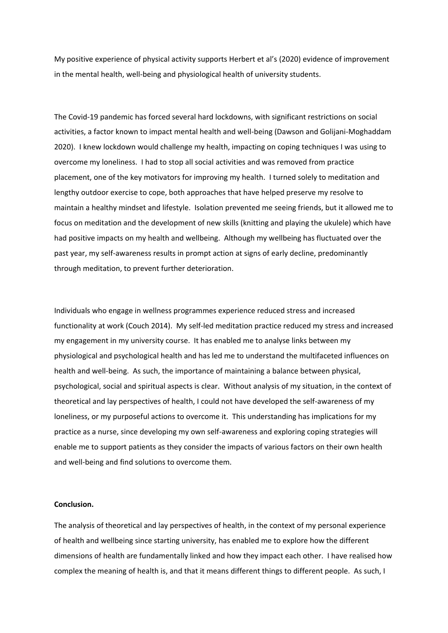My positive experience of physical activity supports Herbert et al's (2020) evidence of improvement in the mental health, well-being and physiological health of university students.

The Covid-19 pandemic has forced several hard lockdowns, with significant restrictions on social activities, a factor known to impact mental health and well-being (Dawson and Golijani-Moghaddam 2020). I knew lockdown would challenge my health, impacting on coping techniques I was using to overcome my loneliness. I had to stop all social activities and was removed from practice placement, one of the key motivators for improving my health. I turned solely to meditation and lengthy outdoor exercise to cope, both approaches that have helped preserve my resolve to maintain a healthy mindset and lifestyle. Isolation prevented me seeing friends, but it allowed me to focus on meditation and the development of new skills (knitting and playing the ukulele) which have had positive impacts on my health and wellbeing. Although my wellbeing has fluctuated over the past year, my self-awareness results in prompt action at signs of early decline, predominantly through meditation, to prevent further deterioration.

Individuals who engage in wellness programmes experience reduced stress and increased functionality at work (Couch 2014). My self-led meditation practice reduced my stress and increased my engagement in my university course. It has enabled me to analyse links between my physiological and psychological health and has led me to understand the multifaceted influences on health and well-being. As such, the importance of maintaining a balance between physical, psychological, social and spiritual aspects is clear. Without analysis of my situation, in the context of theoretical and lay perspectives of health, I could not have developed the self-awareness of my loneliness, or my purposeful actions to overcome it. This understanding has implications for my practice as a nurse, since developing my own self-awareness and exploring coping strategies will enable me to support patients as they consider the impacts of various factors on their own health and well-being and find solutions to overcome them.

#### **Conclusion.**

The analysis of theoretical and lay perspectives of health, in the context of my personal experience of health and wellbeing since starting university, has enabled me to explore how the different dimensions of health are fundamentally linked and how they impact each other. I have realised how complex the meaning of health is, and that it means different things to different people. As such, I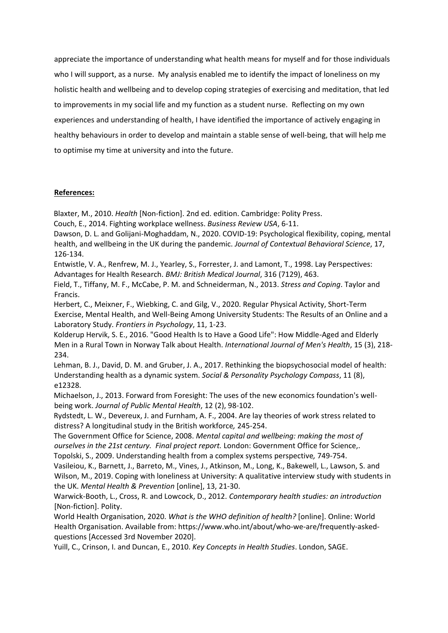appreciate the importance of understanding what health means for myself and for those individuals who I will support, as a nurse. My analysis enabled me to identify the impact of loneliness on my holistic health and wellbeing and to develop coping strategies of exercising and meditation, that led to improvements in my social life and my function as a student nurse. Reflecting on my own experiences and understanding of health, I have identified the importance of actively engaging in healthy behaviours in order to develop and maintain a stable sense of well-being, that will help me to optimise my time at university and into the future.

## **References:**

Blaxter, M., 2010. *Health* [Non-fiction]. 2nd ed. edition. Cambridge: Polity Press.

Couch, E., 2014. Fighting workplace wellness. *Business Review USA*, 6-11.

Dawson, D. L. and Golijani-Moghaddam, N., 2020. COVID-19: Psychological flexibility, coping, mental health, and wellbeing in the UK during the pandemic. *Journal of Contextual Behavioral Science*, 17, 126-134.

Entwistle, V. A., Renfrew, M. J., Yearley, S., Forrester, J. and Lamont, T., 1998. Lay Perspectives: Advantages for Health Research. *BMJ: British Medical Journal*, 316 (7129), 463.

Field, T., Tiffany, M. F., McCabe, P. M. and Schneiderman, N., 2013. *Stress and Coping*. Taylor and Francis.

Herbert, C., Meixner, F., Wiebking, C. and Gilg, V., 2020. Regular Physical Activity, Short-Term Exercise, Mental Health, and Well-Being Among University Students: The Results of an Online and a Laboratory Study. *Frontiers in Psychology*, 11, 1-23.

Kolderup Hervik, S. E., 2016. "Good Health Is to Have a Good Life": How Middle-Aged and Elderly Men in a Rural Town in Norway Talk about Health. *International Journal of Men's Health*, 15 (3), 218- 234.

Lehman, B. J., David, D. M. and Gruber, J. A., 2017. Rethinking the biopsychosocial model of health: Understanding health as a dynamic system. *Social & Personality Psychology Compass*, 11 (8), e12328.

Michaelson, J., 2013. Forward from Foresight: The uses of the new economics foundation's wellbeing work. *Journal of Public Mental Health*, 12 (2), 98-102.

Rydstedt, L. W., Devereux, J. and Furnham, A. F., 2004. Are lay theories of work stress related to distress? A longitudinal study in the British workforce*,* 245-254.

The Government Office for Science, 2008. *Mental capital and wellbeing: making the most of ourselves in the 21st century. Final project report.* London: Government Office for Science,. Topolski, S., 2009. Understanding health from a complex systems perspective*,* 749-754.

Vasileiou, K., Barnett, J., Barreto, M., Vines, J., Atkinson, M., Long, K., Bakewell, L., Lawson, S. and Wilson, M., 2019. Coping with loneliness at University: A qualitative interview study with students in the UK. *Mental Health & Prevention* [online], 13, 21-30.

Warwick-Booth, L., Cross, R. and Lowcock, D., 2012. *Contemporary health studies: an introduction* [Non-fiction]. Polity.

World Health Organisation, 2020. *What is the WHO definition of health?* [online]. Online: World Health Organisation. Available from: https://www.who.int/about/who-we-are/frequently-askedquestions [Accessed 3rd November 2020].

Yuill, C., Crinson, I. and Duncan, E., 2010. *Key Concepts in Health Studies*. London, SAGE.